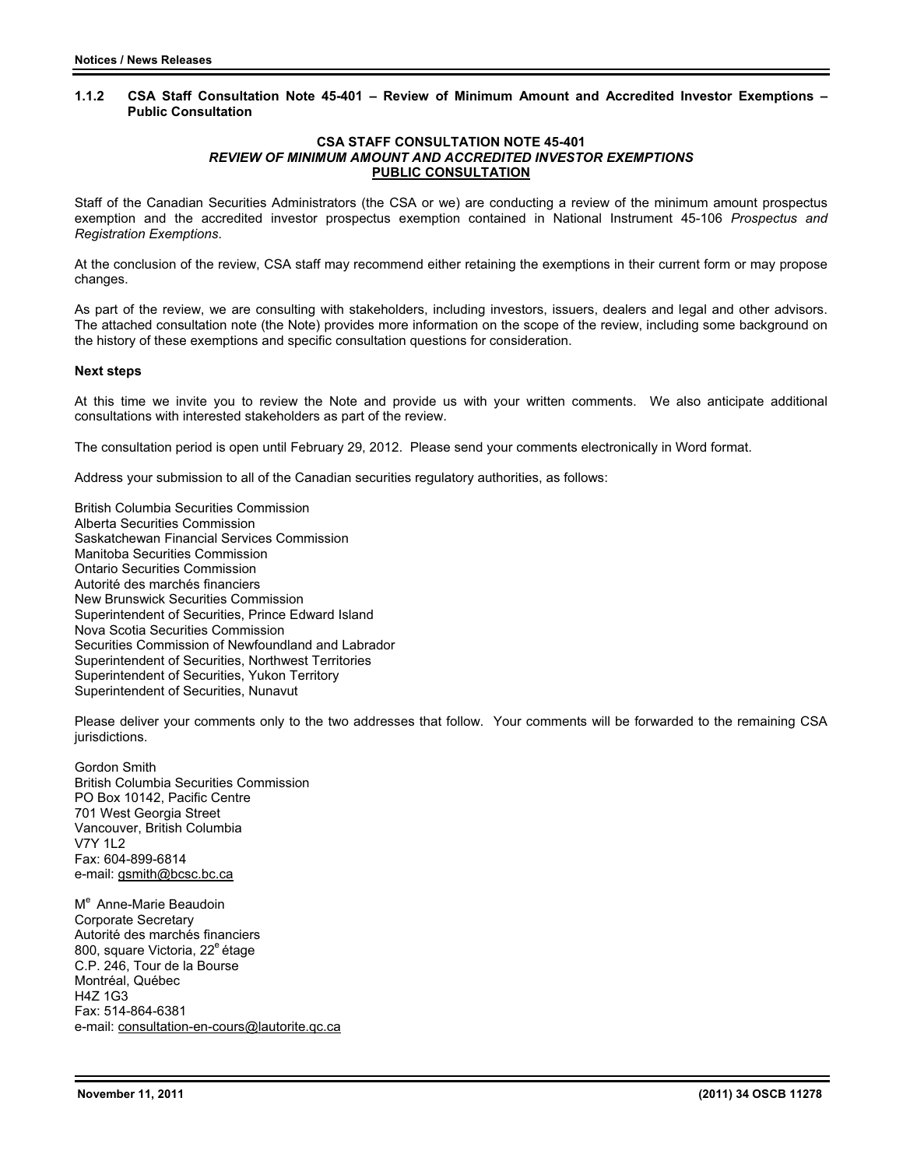### **1.1.2 CSA Staff Consultation Note 45-401 – Review of Minimum Amount and Accredited Investor Exemptions – Public Consultation**

#### **CSA STAFF CONSULTATION NOTE 45-401**  *REVIEW OF MINIMUM AMOUNT AND ACCREDITED INVESTOR EXEMPTIONS* **PUBLIC CONSULTATION**

Staff of the Canadian Securities Administrators (the CSA or we) are conducting a review of the minimum amount prospectus exemption and the accredited investor prospectus exemption contained in National Instrument 45-106 *Prospectus and Registration Exemptions*.

At the conclusion of the review, CSA staff may recommend either retaining the exemptions in their current form or may propose changes.

As part of the review, we are consulting with stakeholders, including investors, issuers, dealers and legal and other advisors. The attached consultation note (the Note) provides more information on the scope of the review, including some background on the history of these exemptions and specific consultation questions for consideration.

### **Next steps**

At this time we invite you to review the Note and provide us with your written comments. We also anticipate additional consultations with interested stakeholders as part of the review.

The consultation period is open until February 29, 2012. Please send your comments electronically in Word format.

Address your submission to all of the Canadian securities regulatory authorities, as follows:

British Columbia Securities Commission Alberta Securities Commission Saskatchewan Financial Services Commission Manitoba Securities Commission Ontario Securities Commission Autorité des marchés financiers New Brunswick Securities Commission Superintendent of Securities, Prince Edward Island Nova Scotia Securities Commission Securities Commission of Newfoundland and Labrador Superintendent of Securities, Northwest Territories Superintendent of Securities, Yukon Territory Superintendent of Securities, Nunavut

Please deliver your comments only to the two addresses that follow. Your comments will be forwarded to the remaining CSA jurisdictions.

Gordon Smith British Columbia Securities Commission PO Box 10142, Pacific Centre 701 West Georgia Street Vancouver, British Columbia V7Y 1L2 Fax: 604-899-6814 e-mail: gsmith@bcsc.bc.ca

M<sup>e</sup> Anne-Marie Beaudoin Corporate Secretary Autorité des marchés financiers 800, square Victoria, 22<sup>e</sup> étage C.P. 246, Tour de la Bourse Montréal, Québec H4Z 1G3 Fax: 514-864-6381 e-mail: consultation-en-cours@lautorite.qc.ca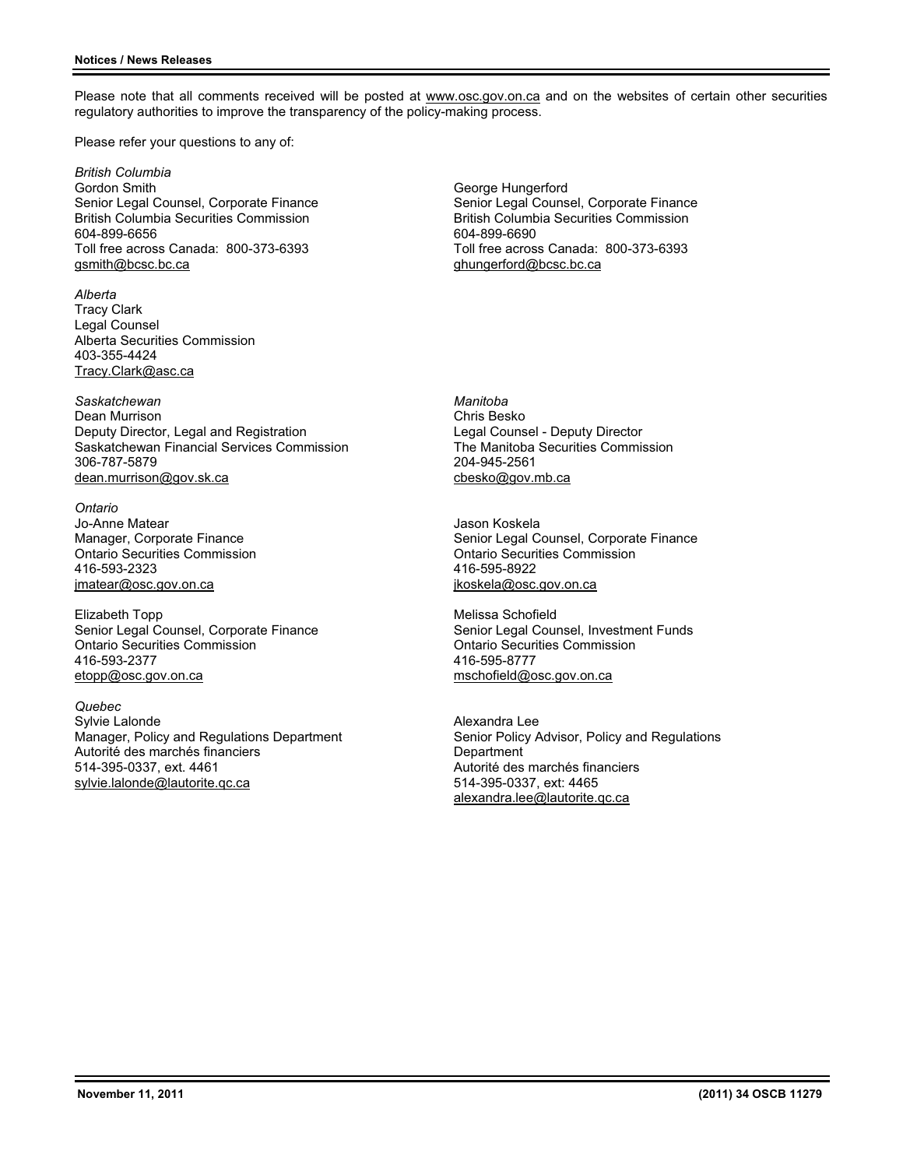Please note that all comments received will be posted at www.osc.gov.on.ca and on the websites of certain other securities regulatory authorities to improve the transparency of the policy-making process.

Please refer your questions to any of:

*British Columbia*  Gordon Smith Senior Legal Counsel, Corporate Finance British Columbia Securities Commission 604-899-6656 Toll free across Canada: 800-373-6393 gsmith@bcsc.bc.ca

*Alberta* Tracy Clark Legal Counsel Alberta Securities Commission 403-355-4424 Tracy.Clark@asc.ca

*Saskatchewan* Dean Murrison Deputy Director, Legal and Registration Saskatchewan Financial Services Commission 306-787-5879 dean.murrison@gov.sk.ca

*Ontario* Jo-Anne Matear Manager, Corporate Finance Ontario Securities Commission 416-593-2323 jmatear@osc.gov.on.ca

Elizabeth Topp Senior Legal Counsel, Corporate Finance Ontario Securities Commission 416-593-2377 etopp@osc.gov.on.ca

*Quebec* Sylvie Lalonde Manager, Policy and Regulations Department Autorité des marchés financiers 514-395-0337, ext. 4461 sylvie.lalonde@lautorite.qc.ca

George Hungerford Senior Legal Counsel, Corporate Finance British Columbia Securities Commission 604-899-6690 Toll free across Canada: 800-373-6393 ghungerford@bcsc.bc.ca

*Manitoba*  Chris Besko Legal Counsel - Deputy Director The Manitoba Securities Commission 204-945-2561 cbesko@gov.mb.ca

Jason Koskela Senior Legal Counsel, Corporate Finance Ontario Securities Commission 416-595-8922 jkoskela@osc.gov.on.ca

Melissa Schofield Senior Legal Counsel, Investment Funds Ontario Securities Commission 416-595-8777 mschofield@osc.gov.on.ca

Alexandra Lee Senior Policy Advisor, Policy and Regulations **Department** Autorité des marchés financiers 514-395-0337, ext: 4465 alexandra.lee@lautorite.qc.ca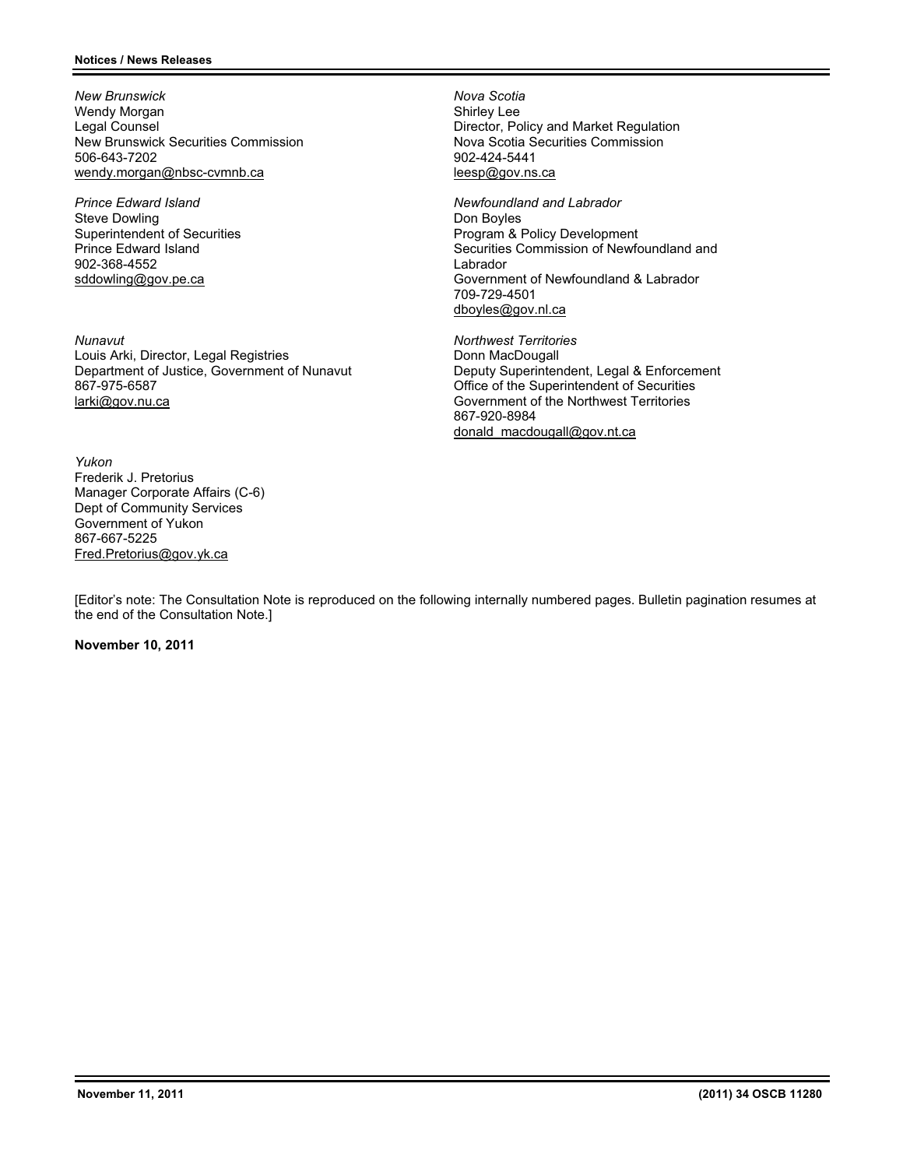*New Brunswick*  Wendy Morgan Legal Counsel New Brunswick Securities Commission 506-643-7202 wendy.morgan@nbsc-cvmnb.ca

*Prince Edward Island*  Steve Dowling Superintendent of Securities Prince Edward Island 902-368-4552 sddowling@gov.pe.ca

*Nunavut*  Louis Arki, Director, Legal Registries Department of Justice, Government of Nunavut 867-975-6587 larki@gov.nu.ca

*Yukon* Frederik J. Pretorius Manager Corporate Affairs (C-6) Dept of Community Services Government of Yukon 867-667-5225 Fred.Pretorius@gov.yk.ca

*Nova Scotia*  Shirley Lee Director, Policy and Market Regulation Nova Scotia Securities Commission 902-424-5441 leesp@gov.ns.ca

*Newfoundland and Labrador*  Don Boyles Program & Policy Development Securities Commission of Newfoundland and Labrador Government of Newfoundland & Labrador 709-729-4501 dboyles@gov.nl.ca

*Northwest Territories*  Donn MacDougall Deputy Superintendent, Legal & Enforcement Office of the Superintendent of Securities Government of the Northwest Territories 867-920-8984 donald\_macdougall@gov.nt.ca

[Editor's note: The Consultation Note is reproduced on the following internally numbered pages. Bulletin pagination resumes at the end of the Consultation Note.]

### **November 10, 2011**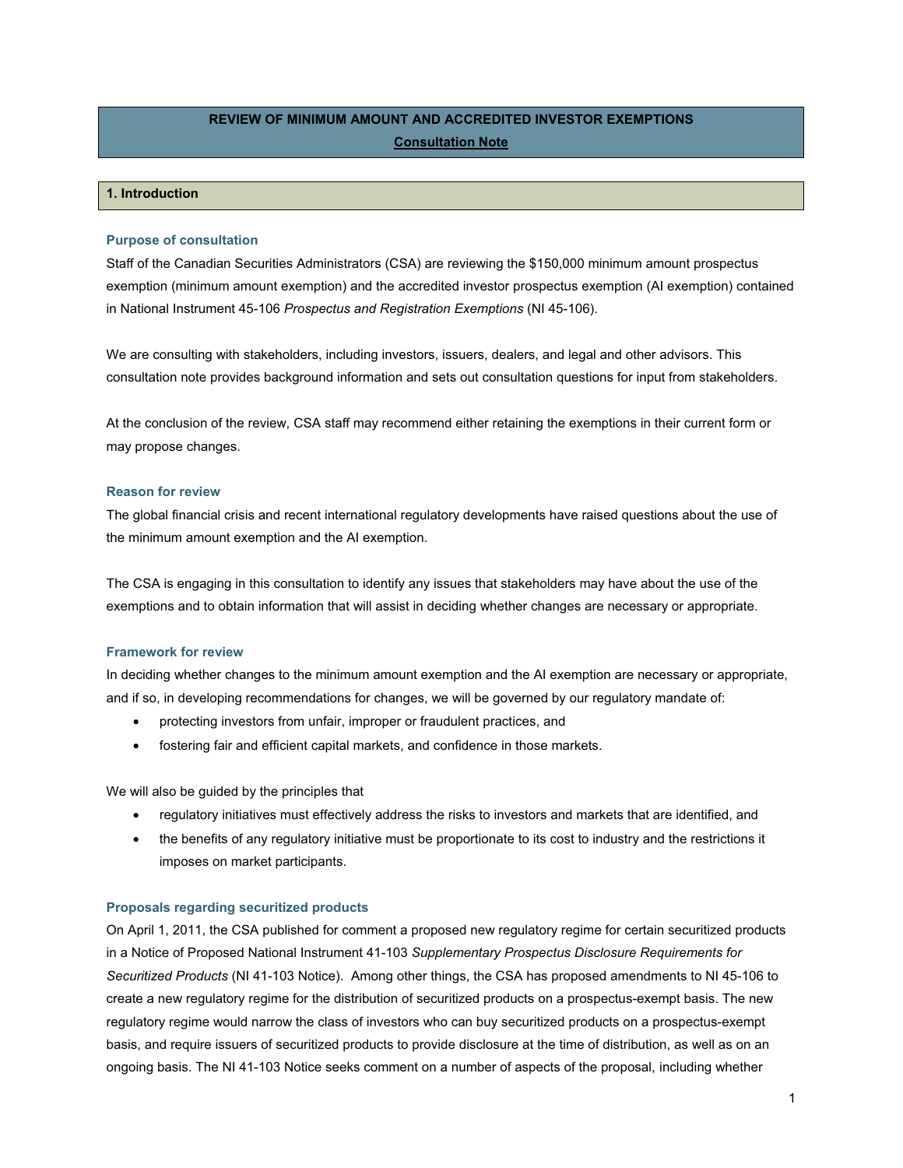# **REVIEW OF MINIMUM AMOUNT AND ACCREDITED INVESTOR EXEMPTIONS Consultation Note**

# **1. Introduction**

#### **Purpose of consultation**

Staff of the Canadian Securities Administrators (CSA) are reviewing the \$150,000 minimum amount prospectus exemption (minimum amount exemption) and the accredited investor prospectus exemption (AI exemption) contained in National Instrument 45-106 *Prospectus and Registration Exemptions* (NI 45-106).

We are consulting with stakeholders, including investors, issuers, dealers, and legal and other advisors. This consultation note provides background information and sets out consultation questions for input from stakeholders.

At the conclusion of the review, CSA staff may recommend either retaining the exemptions in their current form or may propose changes.

### **Reason for review**

The global financial crisis and recent international regulatory developments have raised questions about the use of the minimum amount exemption and the AI exemption.

The CSA is engaging in this consultation to identify any issues that stakeholders may have about the use of the exemptions and to obtain information that will assist in deciding whether changes are necessary or appropriate.

### **Framework for review**

In deciding whether changes to the minimum amount exemption and the AI exemption are necessary or appropriate, and if so, in developing recommendations for changes, we will be governed by our regulatory mandate of:

- protecting investors from unfair, improper or fraudulent practices, and
- fostering fair and efficient capital markets, and confidence in those markets.

We will also be guided by the principles that

- regulatory initiatives must effectively address the risks to investors and markets that are identified, and
- the benefits of any regulatory initiative must be proportionate to its cost to industry and the restrictions it imposes on market participants.

#### **Proposals regarding securitized products**

On April 1, 2011, the CSA published for comment a proposed new regulatory regime for certain securitized products in a Notice of Proposed National Instrument 41-103 *Supplementary Prospectus Disclosure Requirements for Securitized Products* (NI 41-103 Notice). Among other things, the CSA has proposed amendments to NI 45-106 to create a new regulatory regime for the distribution of securitized products on a prospectus-exempt basis. The new regulatory regime would narrow the class of investors who can buy securitized products on a prospectus-exempt basis, and require issuers of securitized products to provide disclosure at the time of distribution, as well as on an ongoing basis. The NI 41-103 Notice seeks comment on a number of aspects of the proposal, including whether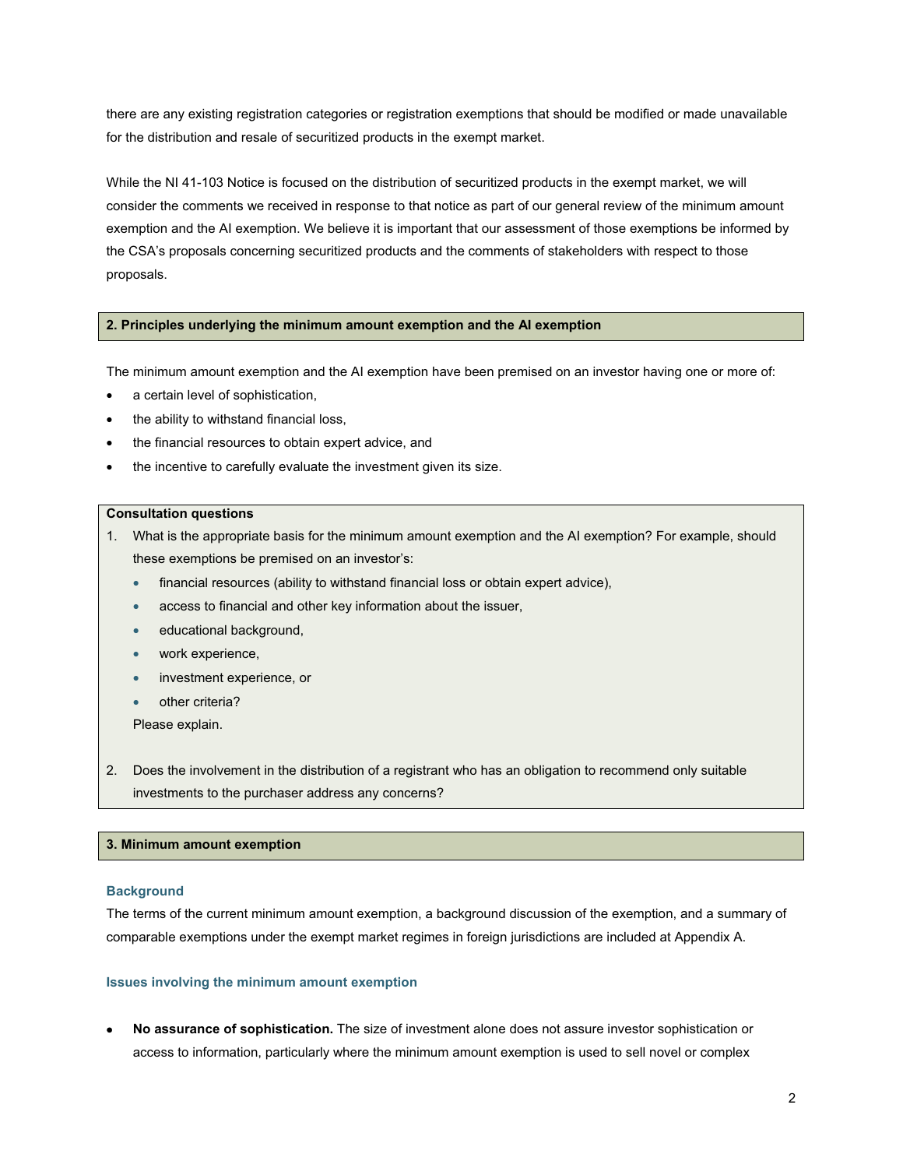there are any existing registration categories or registration exemptions that should be modified or made unavailable for the distribution and resale of securitized products in the exempt market.

While the NI 41-103 Notice is focused on the distribution of securitized products in the exempt market, we will consider the comments we received in response to that notice as part of our general review of the minimum amount exemption and the AI exemption. We believe it is important that our assessment of those exemptions be informed by the CSA's proposals concerning securitized products and the comments of stakeholders with respect to those proposals.

### **2. Principles underlying the minimum amount exemption and the AI exemption**

The minimum amount exemption and the AI exemption have been premised on an investor having one or more of:

- a certain level of sophistication,
- the ability to withstand financial loss,
- the financial resources to obtain expert advice, and
- the incentive to carefully evaluate the investment given its size.

#### **Consultation questions**

- 1. What is the appropriate basis for the minimum amount exemption and the AI exemption? For example, should these exemptions be premised on an investor's:
	- financial resources (ability to withstand financial loss or obtain expert advice),
	- access to financial and other key information about the issuer,
	- educational background,
	- work experience,
	- **•** investment experience, or
	- $\bullet$  other criteria?

Please explain.

2. Does the involvement in the distribution of a registrant who has an obligation to recommend only suitable investments to the purchaser address any concerns?

### **3. Minimum amount exemption**

#### **Background**

The terms of the current minimum amount exemption, a background discussion of the exemption, and a summary of comparable exemptions under the exempt market regimes in foreign jurisdictions are included at Appendix A.

#### **Issues involving the minimum amount exemption**

x **No assurance of sophistication.** The size of investment alone does not assure investor sophistication or access to information, particularly where the minimum amount exemption is used to sell novel or complex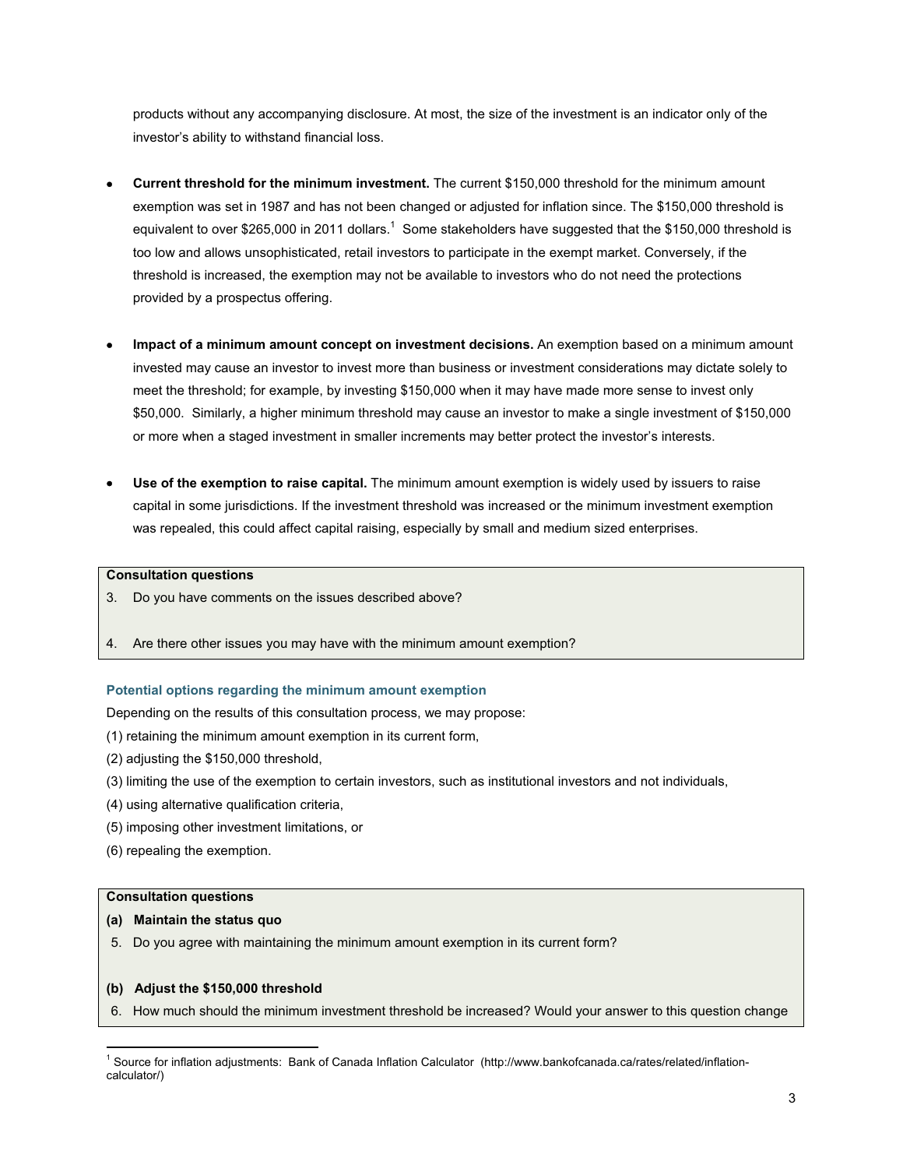products without any accompanying disclosure. At most, the size of the investment is an indicator only of the investor's ability to withstand financial loss.

- x **Current threshold for the minimum investment.** The current \$150,000 threshold for the minimum amount exemption was set in 1987 and has not been changed or adjusted for inflation since. The \$150,000 threshold is equivalent to over \$265,000 in 2011 dollars.<sup>1</sup> Some stakeholders have suggested that the \$150,000 threshold is too low and allows unsophisticated, retail investors to participate in the exempt market. Conversely, if the threshold is increased, the exemption may not be available to investors who do not need the protections provided by a prospectus offering.
- x **Impact of a minimum amount concept on investment decisions.** An exemption based on a minimum amount invested may cause an investor to invest more than business or investment considerations may dictate solely to meet the threshold; for example, by investing \$150,000 when it may have made more sense to invest only \$50,000. Similarly, a higher minimum threshold may cause an investor to make a single investment of \$150,000 or more when a staged investment in smaller increments may better protect the investor's interests.
- **Use of the exemption to raise capital.** The minimum amount exemption is widely used by issuers to raise capital in some jurisdictions. If the investment threshold was increased or the minimum investment exemption was repealed, this could affect capital raising, especially by small and medium sized enterprises.

### **Consultation questions**

- 3. Do you have comments on the issues described above?
- 4. Are there other issues you may have with the minimum amount exemption?

### **Potential options regarding the minimum amount exemption**

Depending on the results of this consultation process, we may propose:

- (1) retaining the minimum amount exemption in its current form,
- (2) adjusting the \$150,000 threshold,
- (3) limiting the use of the exemption to certain investors, such as institutional investors and not individuals,
- (4) using alternative qualification criteria,
- (5) imposing other investment limitations, or
- (6) repealing the exemption.

### **Consultation questions**

- **(a) Maintain the status quo**
- 5. Do you agree with maintaining the minimum amount exemption in its current form?

### **(b) Adjust the \$150,000 threshold**

6. How much should the minimum investment threshold be increased? Would your answer to this question change

<sup>1</sup> Source for inflation adjustments: Bank of Canada Inflation Calculator (http://www.bankofcanada.ca/rates/related/inflationcalculator/)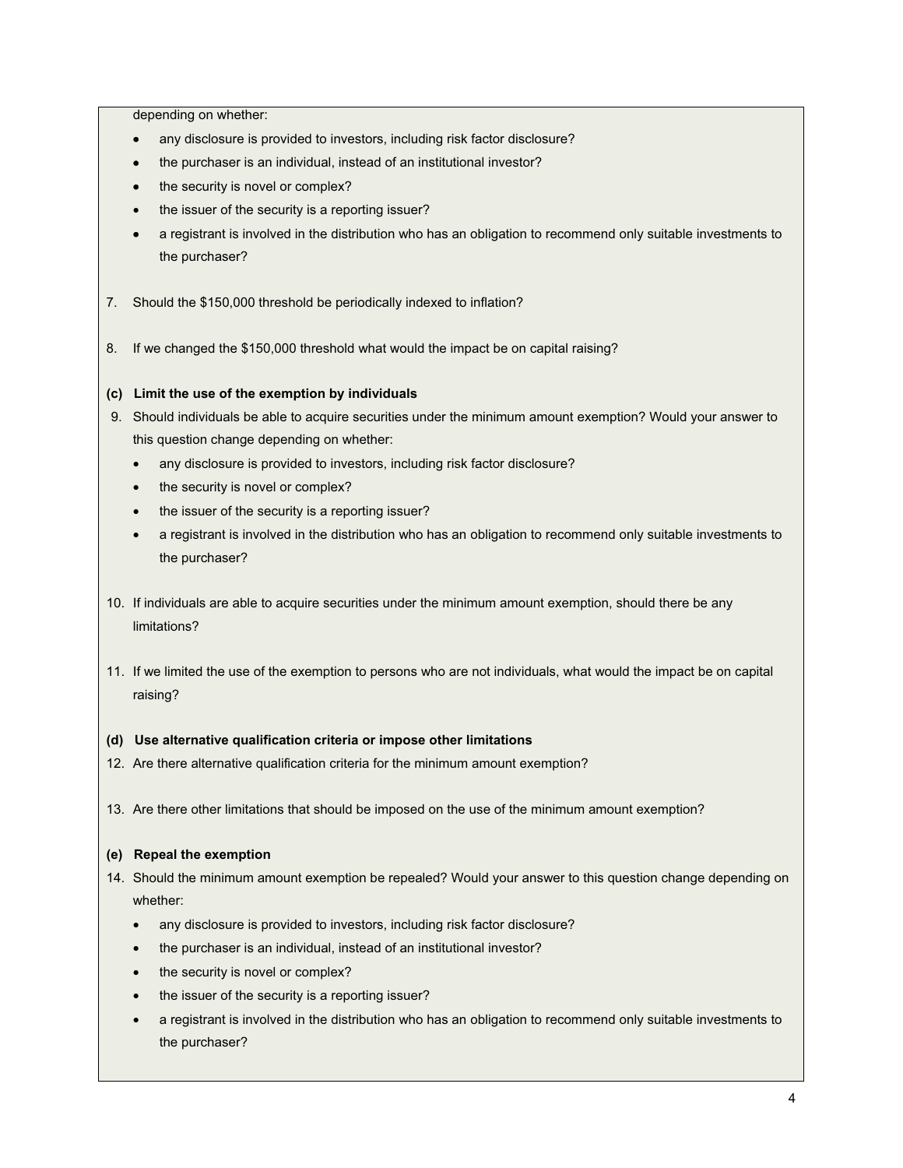depending on whether:

- any disclosure is provided to investors, including risk factor disclosure?
- the purchaser is an individual, instead of an institutional investor?
- the security is novel or complex?
- the issuer of the security is a reporting issuer?
- a registrant is involved in the distribution who has an obligation to recommend only suitable investments to the purchaser?
- 7. Should the \$150,000 threshold be periodically indexed to inflation?
- 8. If we changed the \$150,000 threshold what would the impact be on capital raising?

# **(c) Limit the use of the exemption by individuals**

- 9. Should individuals be able to acquire securities under the minimum amount exemption? Would your answer to this question change depending on whether:
	- any disclosure is provided to investors, including risk factor disclosure?
	- the security is novel or complex?
	- the issuer of the security is a reporting issuer?
	- a registrant is involved in the distribution who has an obligation to recommend only suitable investments to the purchaser?
- 10. If individuals are able to acquire securities under the minimum amount exemption, should there be any limitations?
- 11. If we limited the use of the exemption to persons who are not individuals, what would the impact be on capital raising?

# **(d) Use alternative qualification criteria or impose other limitations**

- 12. Are there alternative qualification criteria for the minimum amount exemption?
- 13. Are there other limitations that should be imposed on the use of the minimum amount exemption?

# **(e) Repeal the exemption**

- 14. Should the minimum amount exemption be repealed? Would your answer to this question change depending on whether:
	- any disclosure is provided to investors, including risk factor disclosure?
	- the purchaser is an individual, instead of an institutional investor?
	- the security is novel or complex?
	- the issuer of the security is a reporting issuer?
	- a registrant is involved in the distribution who has an obligation to recommend only suitable investments to the purchaser?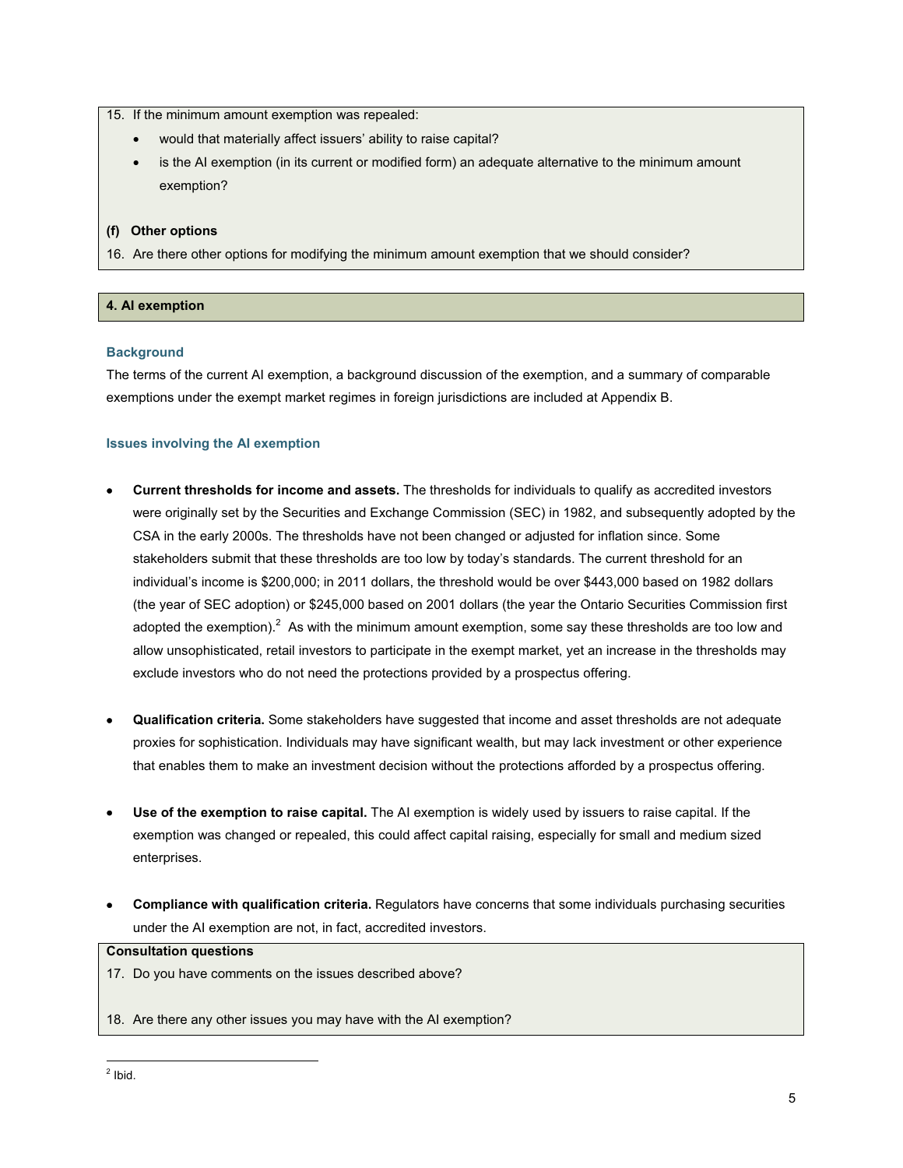15. If the minimum amount exemption was repealed:

- x would that materially affect issuers' ability to raise capital?
- is the AI exemption (in its current or modified form) an adequate alternative to the minimum amount exemption?

### **(f) Other options**

16. Are there other options for modifying the minimum amount exemption that we should consider?

### **4. AI exemption**

### **Background**

The terms of the current AI exemption, a background discussion of the exemption, and a summary of comparable exemptions under the exempt market regimes in foreign jurisdictions are included at Appendix B.

### **Issues involving the AI exemption**

- x **Current thresholds for income and assets.** The thresholds for individuals to qualify as accredited investors were originally set by the Securities and Exchange Commission (SEC) in 1982, and subsequently adopted by the CSA in the early 2000s. The thresholds have not been changed or adjusted for inflation since. Some stakeholders submit that these thresholds are too low by today's standards. The current threshold for an individual's income is \$200,000; in 2011 dollars, the threshold would be over \$443,000 based on 1982 dollars (the year of SEC adoption) or \$245,000 based on 2001 dollars (the year the Ontario Securities Commission first adopted the exemption).<sup>2</sup> As with the minimum amount exemption, some say these thresholds are too low and allow unsophisticated, retail investors to participate in the exempt market, yet an increase in the thresholds may exclude investors who do not need the protections provided by a prospectus offering.
- x **Qualification criteria.** Some stakeholders have suggested that income and asset thresholds are not adequate proxies for sophistication. Individuals may have significant wealth, but may lack investment or other experience that enables them to make an investment decision without the protections afforded by a prospectus offering.
- x **Use of the exemption to raise capital.** The AI exemption is widely used by issuers to raise capital. If the exemption was changed or repealed, this could affect capital raising, especially for small and medium sized enterprises.
- **Compliance with qualification criteria.** Regulators have concerns that some individuals purchasing securities under the AI exemption are not, in fact, accredited investors.

### **Consultation questions**

- 17. Do you have comments on the issues described above?
- 18. Are there any other issues you may have with the AI exemption?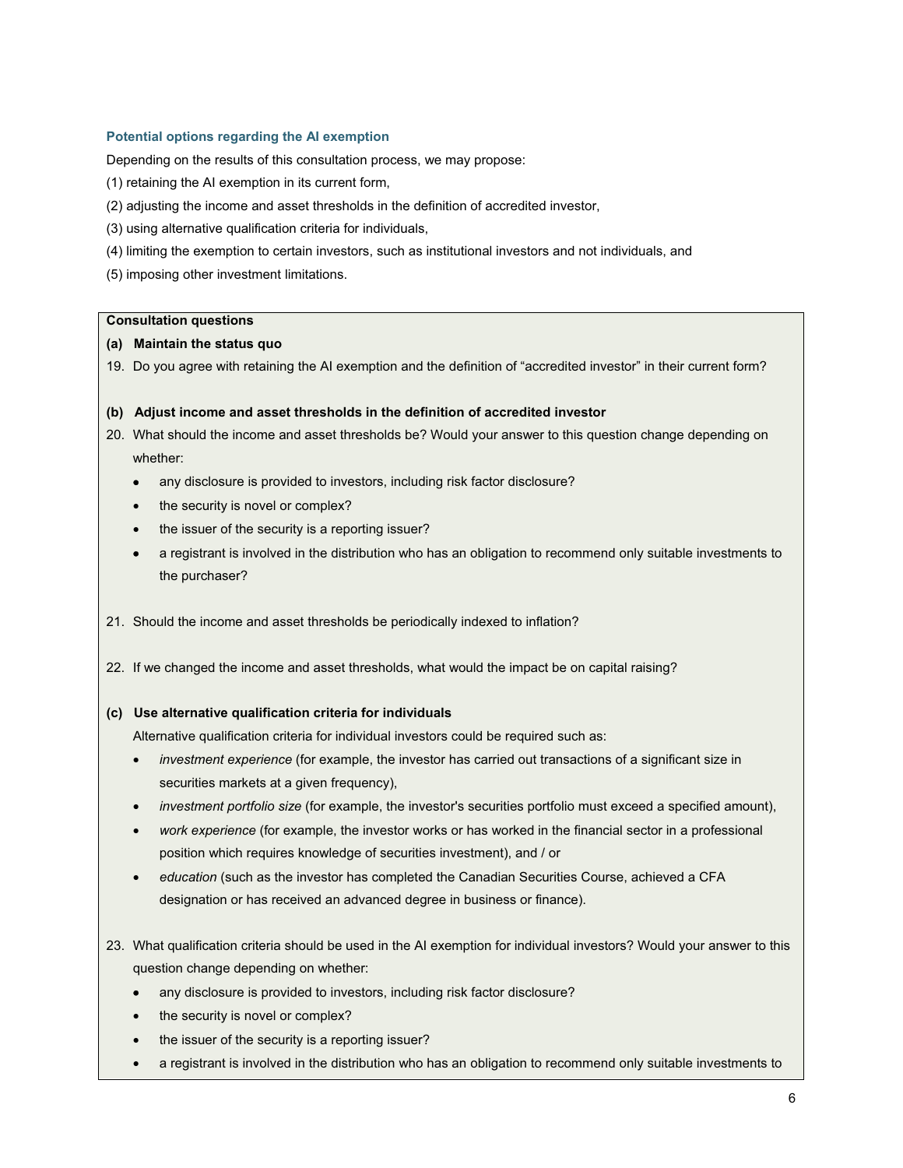### **Potential options regarding the AI exemption**

Depending on the results of this consultation process, we may propose:

- (1) retaining the AI exemption in its current form,
- (2) adjusting the income and asset thresholds in the definition of accredited investor,
- (3) using alternative qualification criteria for individuals,
- (4) limiting the exemption to certain investors, such as institutional investors and not individuals, and
- (5) imposing other investment limitations.

#### **Consultation questions**

### **(a) Maintain the status quo**

19. Do you agree with retaining the AI exemption and the definition of "accredited investor" in their current form?

#### **(b) Adjust income and asset thresholds in the definition of accredited investor**

- 20. What should the income and asset thresholds be? Would your answer to this question change depending on whether:
	- any disclosure is provided to investors, including risk factor disclosure?
	- the security is novel or complex?
	- the issuer of the security is a reporting issuer?
	- a registrant is involved in the distribution who has an obligation to recommend only suitable investments to the purchaser?
- 21. Should the income and asset thresholds be periodically indexed to inflation?
- 22. If we changed the income and asset thresholds, what would the impact be on capital raising?

#### **(c) Use alternative qualification criteria for individuals**

Alternative qualification criteria for individual investors could be required such as:

- **•** *investment experience* (for example, the investor has carried out transactions of a significant size in securities markets at a given frequency),
- *investment portfolio size* (for example, the investor's securities portfolio must exceed a specified amount),
- x *work experience* (for example, the investor works or has worked in the financial sector in a professional position which requires knowledge of securities investment), and / or
- x *education* (such as the investor has completed the Canadian Securities Course, achieved a CFA designation or has received an advanced degree in business or finance).
- 23. What qualification criteria should be used in the AI exemption for individual investors? Would your answer to this question change depending on whether:
	- any disclosure is provided to investors, including risk factor disclosure?
	- the security is novel or complex?
	- the issuer of the security is a reporting issuer?
	- a registrant is involved in the distribution who has an obligation to recommend only suitable investments to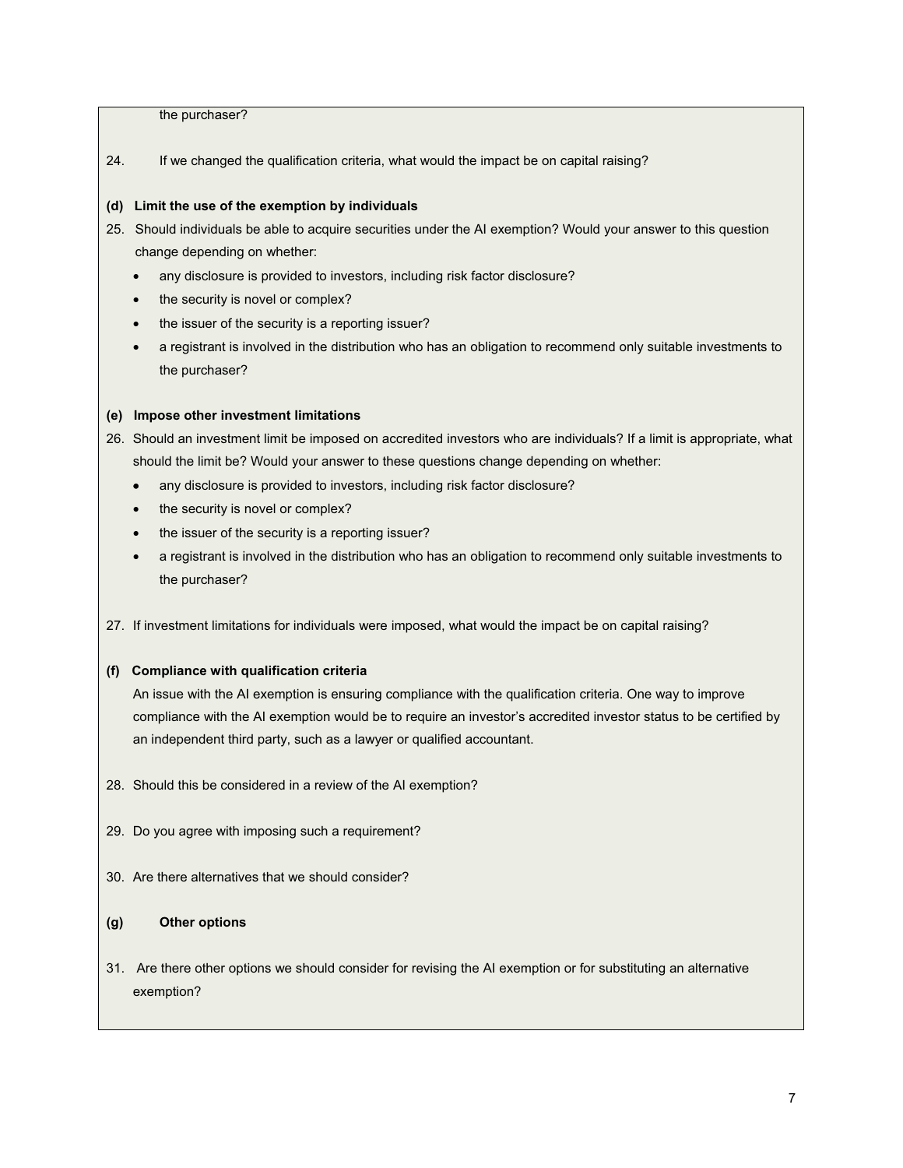the purchaser?

24. If we changed the qualification criteria, what would the impact be on capital raising?

### **(d) Limit the use of the exemption by individuals**

- 25. Should individuals be able to acquire securities under the AI exemption? Would your answer to this question change depending on whether:
	- any disclosure is provided to investors, including risk factor disclosure?
	- the security is novel or complex?
	- the issuer of the security is a reporting issuer?
	- a registrant is involved in the distribution who has an obligation to recommend only suitable investments to the purchaser?

### **(e) Impose other investment limitations**

26. Should an investment limit be imposed on accredited investors who are individuals? If a limit is appropriate, what should the limit be? Would your answer to these questions change depending on whether:

- any disclosure is provided to investors, including risk factor disclosure?
- the security is novel or complex?
- the issuer of the security is a reporting issuer?
- a registrant is involved in the distribution who has an obligation to recommend only suitable investments to the purchaser?
- 27. If investment limitations for individuals were imposed, what would the impact be on capital raising?

# **(f) Compliance with qualification criteria**

An issue with the AI exemption is ensuring compliance with the qualification criteria. One way to improve compliance with the AI exemption would be to require an investor's accredited investor status to be certified by an independent third party, such as a lawyer or qualified accountant.

- 28. Should this be considered in a review of the AI exemption?
- 29. Do you agree with imposing such a requirement?
- 30. Are there alternatives that we should consider?

# **(g) Other options**

31. Are there other options we should consider for revising the AI exemption or for substituting an alternative exemption?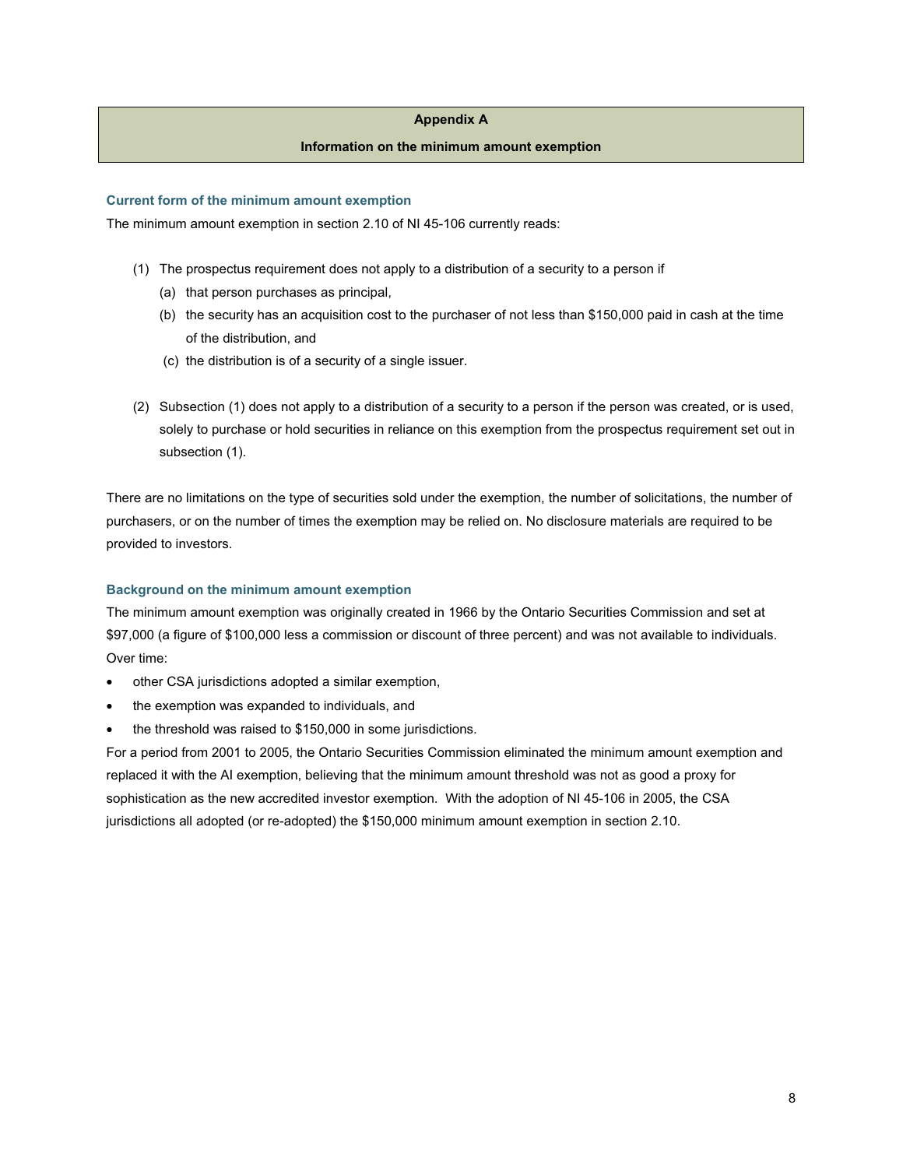### **Appendix A**

### **Information on the minimum amount exemption**

#### **Current form of the minimum amount exemption**

The minimum amount exemption in section 2.10 of NI 45-106 currently reads:

- (1) The prospectus requirement does not apply to a distribution of a security to a person if
	- (a) that person purchases as principal,
	- (b) the security has an acquisition cost to the purchaser of not less than \$150,000 paid in cash at the time of the distribution, and
	- (c) the distribution is of a security of a single issuer.
- (2) Subsection (1) does not apply to a distribution of a security to a person if the person was created, or is used, solely to purchase or hold securities in reliance on this exemption from the prospectus requirement set out in subsection (1).

There are no limitations on the type of securities sold under the exemption, the number of solicitations, the number of purchasers, or on the number of times the exemption may be relied on. No disclosure materials are required to be provided to investors.

### **Background on the minimum amount exemption**

The minimum amount exemption was originally created in 1966 by the Ontario Securities Commission and set at \$97,000 (a figure of \$100,000 less a commission or discount of three percent) and was not available to individuals. Over time:

- other CSA jurisdictions adopted a similar exemption,
- the exemption was expanded to individuals, and
- the threshold was raised to \$150,000 in some jurisdictions.

For a period from 2001 to 2005, the Ontario Securities Commission eliminated the minimum amount exemption and replaced it with the AI exemption, believing that the minimum amount threshold was not as good a proxy for sophistication as the new accredited investor exemption. With the adoption of NI 45-106 in 2005, the CSA jurisdictions all adopted (or re-adopted) the \$150,000 minimum amount exemption in section 2.10.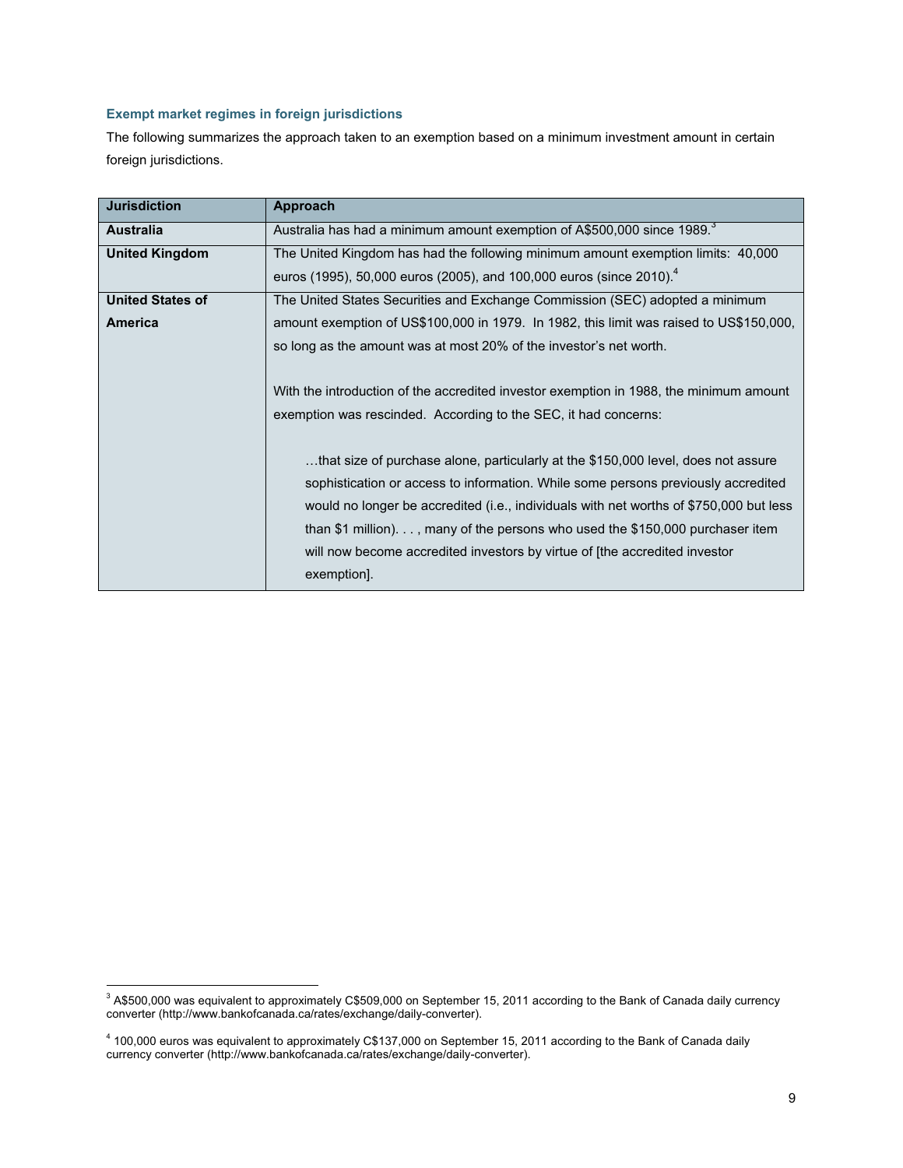# **Exempt market regimes in foreign jurisdictions**

The following summarizes the approach taken to an exemption based on a minimum investment amount in certain foreign jurisdictions.

| <b>Jurisdiction</b>     | Approach                                                                                |
|-------------------------|-----------------------------------------------------------------------------------------|
| <b>Australia</b>        | Australia has had a minimum amount exemption of A\$500,000 since 1989. <sup>3</sup>     |
| <b>United Kingdom</b>   | The United Kingdom has had the following minimum amount exemption limits: 40,000        |
|                         | euros (1995), 50,000 euros (2005), and 100,000 euros (since 2010). <sup>4</sup>         |
| <b>United States of</b> | The United States Securities and Exchange Commission (SEC) adopted a minimum            |
| America                 | amount exemption of US\$100,000 in 1979. In 1982, this limit was raised to US\$150,000, |
|                         | so long as the amount was at most 20% of the investor's net worth.                      |
|                         |                                                                                         |
|                         | With the introduction of the accredited investor exemption in 1988, the minimum amount  |
|                         | exemption was rescinded. According to the SEC, it had concerns:                         |
|                         |                                                                                         |
|                         | that size of purchase alone, particularly at the \$150,000 level, does not assure       |
|                         | sophistication or access to information. While some persons previously accredited       |
|                         | would no longer be accredited (i.e., individuals with net worths of \$750,000 but less  |
|                         | than \$1 million), many of the persons who used the $$150,000$ purchaser item           |
|                         | will now become accredited investors by virtue of [the accredited investor              |
|                         | exemption].                                                                             |

 $^3$  A\$500,000 was equivalent to approximately C\$509,000 on September 15, 2011 according to the Bank of Canada daily currency converter (http://www.bankofcanada.ca/rates/exchange/daily-converter).

<sup>4</sup> 100,000 euros was equivalent to approximately C\$137,000 on September 15, 2011 according to the Bank of Canada daily currency converter (http://www.bankofcanada.ca/rates/exchange/daily-converter).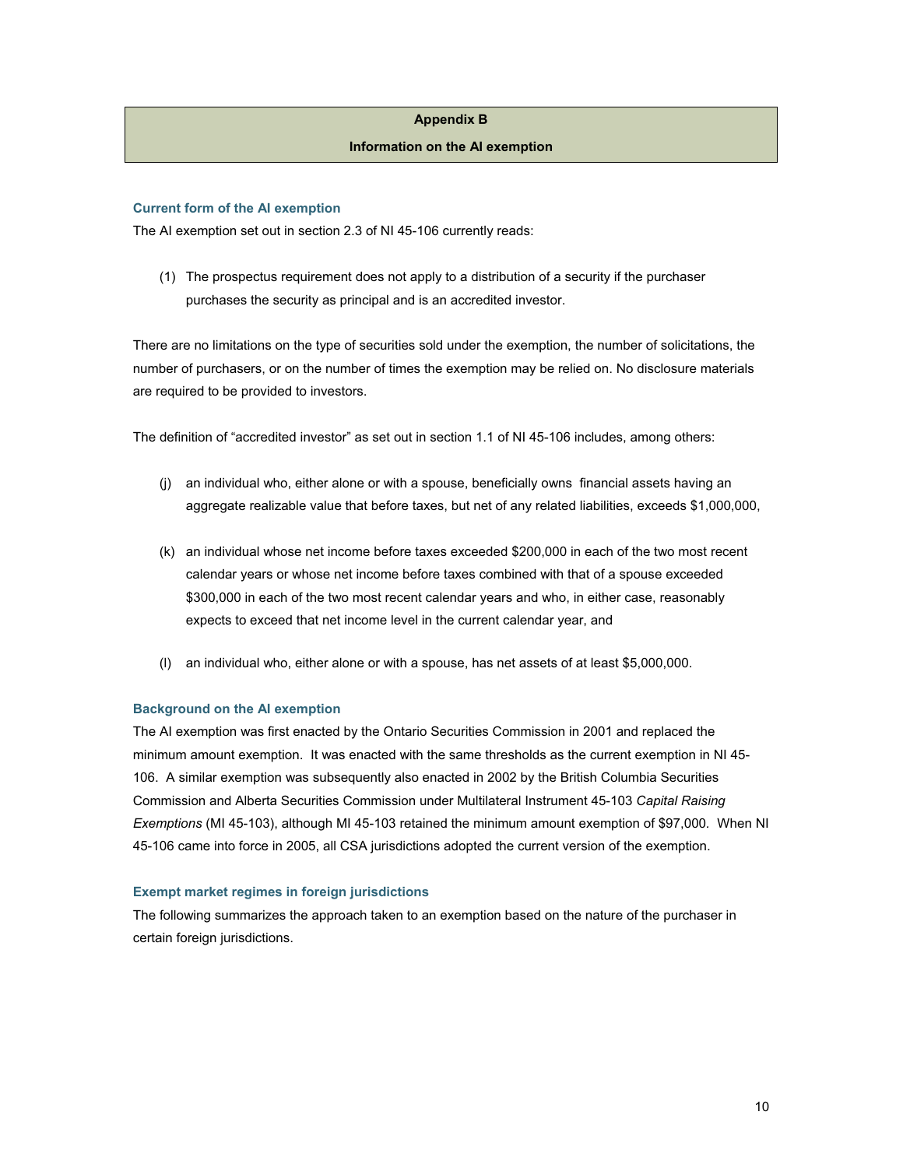### **Appendix B**

#### **Information on the AI exemption**

#### **Current form of the AI exemption**

The AI exemption set out in section 2.3 of NI 45-106 currently reads:

(1) The prospectus requirement does not apply to a distribution of a security if the purchaser purchases the security as principal and is an accredited investor.

There are no limitations on the type of securities sold under the exemption, the number of solicitations, the number of purchasers, or on the number of times the exemption may be relied on. No disclosure materials are required to be provided to investors.

The definition of "accredited investor" as set out in section 1.1 of NI 45-106 includes, among others:

- (j) an individual who, either alone or with a spouse, beneficially owns financial assets having an aggregate realizable value that before taxes, but net of any related liabilities, exceeds \$1,000,000,
- (k) an individual whose net income before taxes exceeded \$200,000 in each of the two most recent calendar years or whose net income before taxes combined with that of a spouse exceeded \$300,000 in each of the two most recent calendar years and who, in either case, reasonably expects to exceed that net income level in the current calendar year, and
- (l) an individual who, either alone or with a spouse, has net assets of at least \$5,000,000.

#### **Background on the AI exemption**

The AI exemption was first enacted by the Ontario Securities Commission in 2001 and replaced the minimum amount exemption. It was enacted with the same thresholds as the current exemption in NI 45- 106. A similar exemption was subsequently also enacted in 2002 by the British Columbia Securities Commission and Alberta Securities Commission under Multilateral Instrument 45-103 *Capital Raising Exemptions* (MI 45-103), although MI 45-103 retained the minimum amount exemption of \$97,000*.* When NI 45-106 came into force in 2005, all CSA jurisdictions adopted the current version of the exemption.

#### **Exempt market regimes in foreign jurisdictions**

The following summarizes the approach taken to an exemption based on the nature of the purchaser in certain foreign jurisdictions.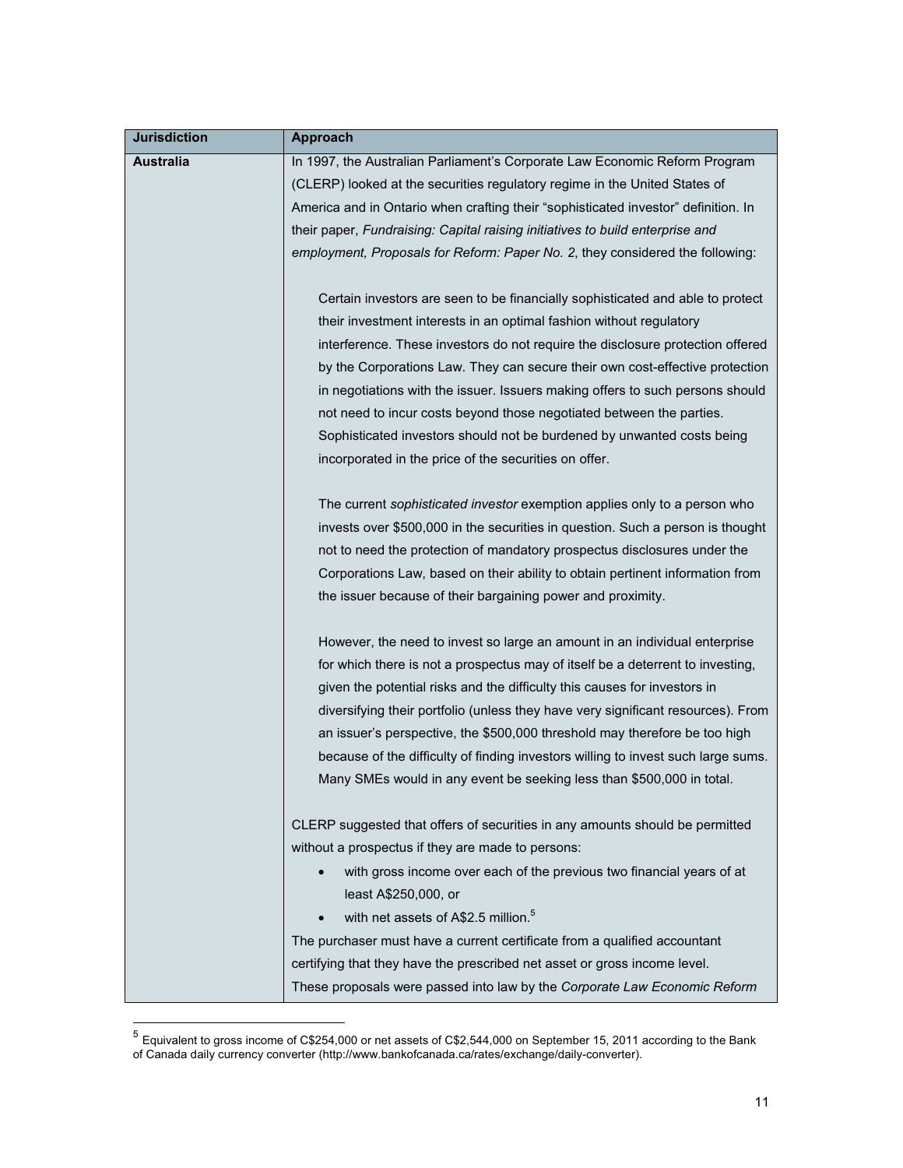| <b>Jurisdiction</b> | Approach                                                                           |
|---------------------|------------------------------------------------------------------------------------|
| <b>Australia</b>    | In 1997, the Australian Parliament's Corporate Law Economic Reform Program         |
|                     | (CLERP) looked at the securities regulatory regime in the United States of         |
|                     | America and in Ontario when crafting their "sophisticated investor" definition. In |
|                     | their paper, Fundraising: Capital raising initiatives to build enterprise and      |
|                     | employment, Proposals for Reform: Paper No. 2, they considered the following:      |
|                     |                                                                                    |
|                     | Certain investors are seen to be financially sophisticated and able to protect     |
|                     | their investment interests in an optimal fashion without regulatory                |
|                     | interference. These investors do not require the disclosure protection offered     |
|                     | by the Corporations Law. They can secure their own cost-effective protection       |
|                     | in negotiations with the issuer. Issuers making offers to such persons should      |
|                     | not need to incur costs beyond those negotiated between the parties.               |
|                     | Sophisticated investors should not be burdened by unwanted costs being             |
|                     | incorporated in the price of the securities on offer.                              |
|                     | The current sophisticated investor exemption applies only to a person who          |
|                     | invests over \$500,000 in the securities in question. Such a person is thought     |
|                     | not to need the protection of mandatory prospectus disclosures under the           |
|                     | Corporations Law, based on their ability to obtain pertinent information from      |
|                     | the issuer because of their bargaining power and proximity.                        |
|                     |                                                                                    |
|                     | However, the need to invest so large an amount in an individual enterprise         |
|                     | for which there is not a prospectus may of itself be a deterrent to investing,     |
|                     | given the potential risks and the difficulty this causes for investors in          |
|                     | diversifying their portfolio (unless they have very significant resources). From   |
|                     | an issuer's perspective, the \$500,000 threshold may therefore be too high         |
|                     | because of the difficulty of finding investors willing to invest such large sums.  |
|                     | Many SMEs would in any event be seeking less than \$500,000 in total.              |
|                     | CLERP suggested that offers of securities in any amounts should be permitted       |
|                     | without a prospectus if they are made to persons:                                  |
|                     | with gross income over each of the previous two financial years of at              |
|                     | least A\$250,000, or                                                               |
|                     | with net assets of A\$2.5 million. <sup>5</sup>                                    |
|                     | The purchaser must have a current certificate from a qualified accountant          |
|                     | certifying that they have the prescribed net asset or gross income level.          |
|                     | These proposals were passed into law by the Corporate Law Economic Reform          |

 $^5$  Equivalent to gross income of C\$254,000 or net assets of C\$2,544,000 on September 15, 2011 according to the Bank of Canada daily currency converter (http://www.bankofcanada.ca/rates/exchange/daily-converter).